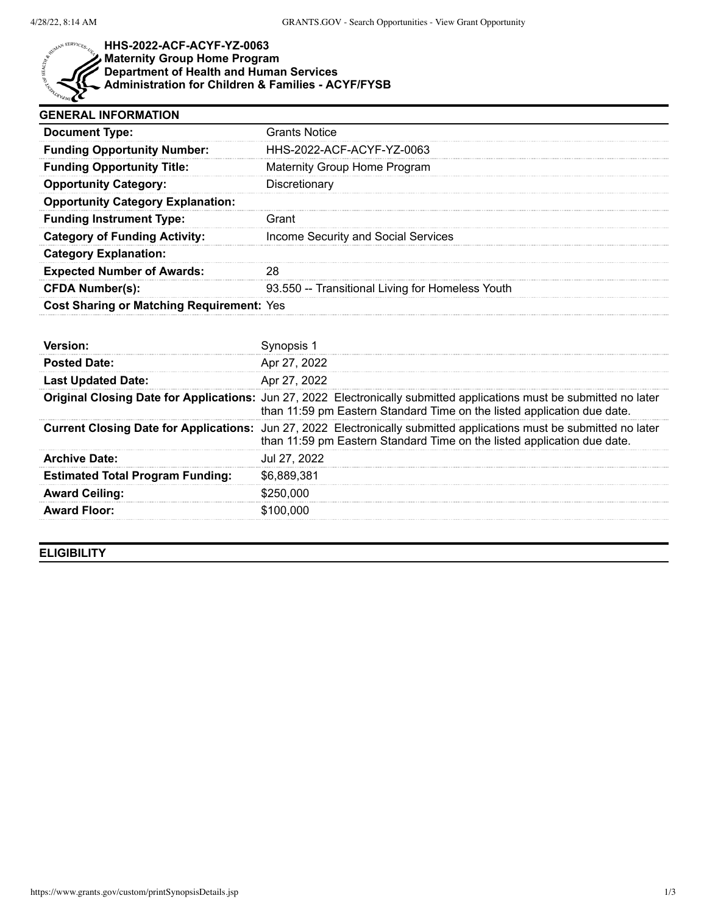

## **HHS-2022-ACF-ACYF-YZ-0063 Maternity Group Home Program Department of Health and Human Services Administration for Children & Families - ACYF/FYSB**

| <b>GENERAL INFORMATION</b>                |                                                  |  |
|-------------------------------------------|--------------------------------------------------|--|
| <b>Document Type:</b>                     | <b>Grants Notice</b>                             |  |
| <b>Funding Opportunity Number:</b>        | HHS-2022-ACF-ACYF-YZ-0063                        |  |
| <b>Funding Opportunity Title:</b>         | Maternity Group Home Program                     |  |
| <b>Opportunity Category:</b>              | Discretionary                                    |  |
| <b>Opportunity Category Explanation:</b>  |                                                  |  |
| <b>Funding Instrument Type:</b>           | Grant                                            |  |
| <b>Category of Funding Activity:</b>      | Income Security and Social Services              |  |
| <b>Category Explanation:</b>              |                                                  |  |
| <b>Expected Number of Awards:</b>         |                                                  |  |
| <b>CFDA Number(s):</b>                    | 93.550 -- Transitional Living for Homeless Youth |  |
| Cost Sharing or Matching Requirement: Yes |                                                  |  |

| <b>Posted Date:</b>                     | Apr 27, 2022                                                                                                                                                                                     |
|-----------------------------------------|--------------------------------------------------------------------------------------------------------------------------------------------------------------------------------------------------|
| <b>Last Updated Date:</b>               | Apr 27, 2022                                                                                                                                                                                     |
|                                         | Original Closing Date for Applications: Jun 27, 2022 Electronically submitted applications must be submitted no later<br>than 11:59 pm Eastern Standard Time on the listed application due date. |
|                                         | Current Closing Date for Applications: Jun 27, 2022 Electronically submitted applications must be submitted no later<br>than 11:59 pm Eastern Standard Time on the listed application due date.  |
| <b>Archive Date:</b>                    | Jul 27, 2022                                                                                                                                                                                     |
| <b>Estimated Total Program Funding:</b> | \$6,889,381                                                                                                                                                                                      |
| <b>Award Ceiling:</b>                   | \$250,000                                                                                                                                                                                        |
| <b>Award Floor:</b>                     | \$100,000                                                                                                                                                                                        |

**ELIGIBILITY**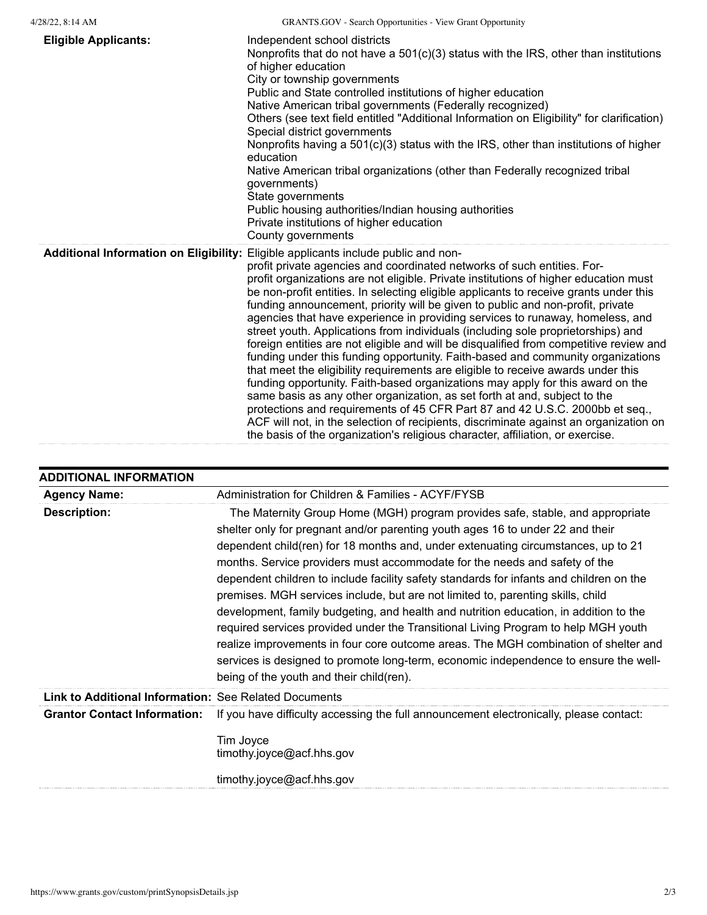| <b>Eligible Applicants:</b> | Independent school districts<br>Nonprofits that do not have a $501(c)(3)$ status with the IRS, other than institutions<br>of higher education<br>City or township governments<br>Public and State controlled institutions of higher education<br>Native American tribal governments (Federally recognized)<br>Others (see text field entitled "Additional Information on Eligibility" for clarification)<br>Special district governments<br>Nonprofits having a 501(c)(3) status with the IRS, other than institutions of higher<br>education<br>Native American tribal organizations (other than Federally recognized tribal<br>qovernments)<br>State governments<br>Public housing authorities/Indian housing authorities<br>Private institutions of higher education<br>County governments                                                                                                                                                                                                                                                                                                                                                                                                                                                                                                    |
|-----------------------------|--------------------------------------------------------------------------------------------------------------------------------------------------------------------------------------------------------------------------------------------------------------------------------------------------------------------------------------------------------------------------------------------------------------------------------------------------------------------------------------------------------------------------------------------------------------------------------------------------------------------------------------------------------------------------------------------------------------------------------------------------------------------------------------------------------------------------------------------------------------------------------------------------------------------------------------------------------------------------------------------------------------------------------------------------------------------------------------------------------------------------------------------------------------------------------------------------------------------------------------------------------------------------------------------------|
|                             | Additional Information on Eligibility: Eligible applicants include public and non-<br>profit private agencies and coordinated networks of such entities. For-<br>profit organizations are not eligible. Private institutions of higher education must<br>be non-profit entities. In selecting eligible applicants to receive grants under this<br>funding announcement, priority will be given to public and non-profit, private<br>agencies that have experience in providing services to runaway, homeless, and<br>street youth. Applications from individuals (including sole proprietorships) and<br>foreign entities are not eligible and will be disqualified from competitive review and<br>funding under this funding opportunity. Faith-based and community organizations<br>that meet the eligibility requirements are eligible to receive awards under this<br>funding opportunity. Faith-based organizations may apply for this award on the<br>same basis as any other organization, as set forth at and, subject to the<br>protections and requirements of 45 CFR Part 87 and 42 U.S.C. 2000bb et seq.,<br>ACF will not, in the selection of recipients, discriminate against an organization on<br>the basis of the organization's religious character, affiliation, or exercise. |

| <b>ADDITIONAL INFORMATION</b>                         |                                                                                                                                                                                                                                                                                                                                                                                                                                                                                                                                                                                                                                                                                                                                                                                                                                                                                                                             |
|-------------------------------------------------------|-----------------------------------------------------------------------------------------------------------------------------------------------------------------------------------------------------------------------------------------------------------------------------------------------------------------------------------------------------------------------------------------------------------------------------------------------------------------------------------------------------------------------------------------------------------------------------------------------------------------------------------------------------------------------------------------------------------------------------------------------------------------------------------------------------------------------------------------------------------------------------------------------------------------------------|
| <b>Agency Name:</b>                                   | Administration for Children & Families - ACYF/FYSB                                                                                                                                                                                                                                                                                                                                                                                                                                                                                                                                                                                                                                                                                                                                                                                                                                                                          |
| <b>Description:</b>                                   | The Maternity Group Home (MGH) program provides safe, stable, and appropriate<br>shelter only for pregnant and/or parenting youth ages 16 to under 22 and their<br>dependent child(ren) for 18 months and, under extenuating circumstances, up to 21<br>months. Service providers must accommodate for the needs and safety of the<br>dependent children to include facility safety standards for infants and children on the<br>premises. MGH services include, but are not limited to, parenting skills, child<br>development, family budgeting, and health and nutrition education, in addition to the<br>required services provided under the Transitional Living Program to help MGH youth<br>realize improvements in four core outcome areas. The MGH combination of shelter and<br>services is designed to promote long-term, economic independence to ensure the well-<br>being of the youth and their child (ren). |
| Link to Additional Information: See Related Documents |                                                                                                                                                                                                                                                                                                                                                                                                                                                                                                                                                                                                                                                                                                                                                                                                                                                                                                                             |
| <b>Grantor Contact Information:</b>                   | If you have difficulty accessing the full announcement electronically, please contact:                                                                                                                                                                                                                                                                                                                                                                                                                                                                                                                                                                                                                                                                                                                                                                                                                                      |
|                                                       | Tim Joyce<br>timothy.joyce@acf.hhs.gov                                                                                                                                                                                                                                                                                                                                                                                                                                                                                                                                                                                                                                                                                                                                                                                                                                                                                      |
|                                                       | timothy.joyce@acf.hhs.gov                                                                                                                                                                                                                                                                                                                                                                                                                                                                                                                                                                                                                                                                                                                                                                                                                                                                                                   |